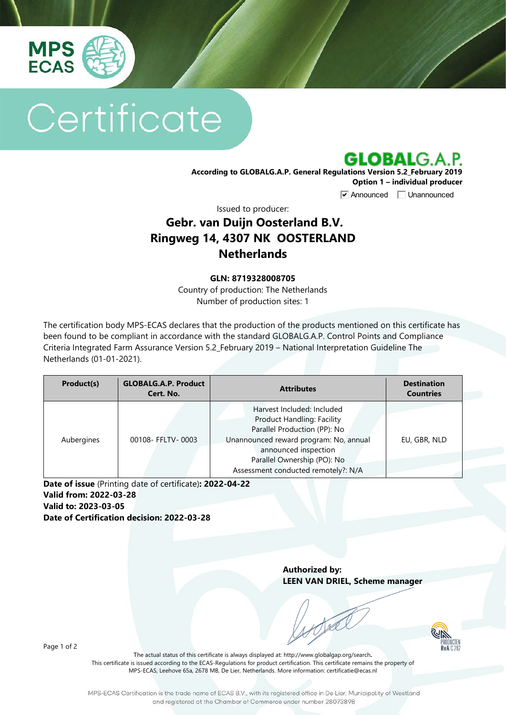

# Certificate



**Option 1 – individual producer**

**V** Announced **Unannounced** 

Issued to producer:

## **Gebr. van Duijn Oosterland B.V. Ringweg 14, 4307 NK OOSTERLAND Netherlands**

#### **GLN: 8719328008705**

Country of production: The Netherlands Number of production sites: 1

The certification body MPS-ECAS declares that the production of the products mentioned on this certificate has been found to be compliant in accordance with the standard GLOBALG.A.P. Control Points and Compliance Criteria Integrated Farm Assurance Version 5.2\_February 2019 – National Interpretation Guideline The Netherlands (01-01-2021).

| Product(s) | <b>GLOBALG.A.P. Product</b><br>Cert. No. | <b>Attributes</b>                                                                                                                                                                                                                       | <b>Destination</b><br><b>Countries</b> |
|------------|------------------------------------------|-----------------------------------------------------------------------------------------------------------------------------------------------------------------------------------------------------------------------------------------|----------------------------------------|
| Aubergines | 00108- FFLTV-0003                        | Harvest Included: Included<br><b>Product Handling: Facility</b><br>Parallel Production (PP): No<br>Unannounced reward program: No, annual<br>announced inspection<br>Parallel Ownership (PO): No<br>Assessment conducted remotely?: N/A | EU, GBR, NLD                           |

**Date of issue** (Printing date of certificate)**: 2022-04-22 Valid from: 2022-03-28 Valid to: 2023-03-05**

**Date of Certification decision: 2022-03-28**

**Authorized by: LEEN VAN DRIEL, Scheme manager**

PRODUCTEN<br>PRODUCTEN<br>RVA C 262

Page 1 of 2

The actual status of this certificate is always displayed at: <http://www.globalgap.org/search>**.**  This certificate is issued according to the ECAS-Regulations for product certification. This certificate remains the property of MPS-ECAS, Leehove 65a, 2678 MB, De Lier, Netherlands. More information[: certificatie@ecas.nl](mailto:certificatie@ecas.nl)